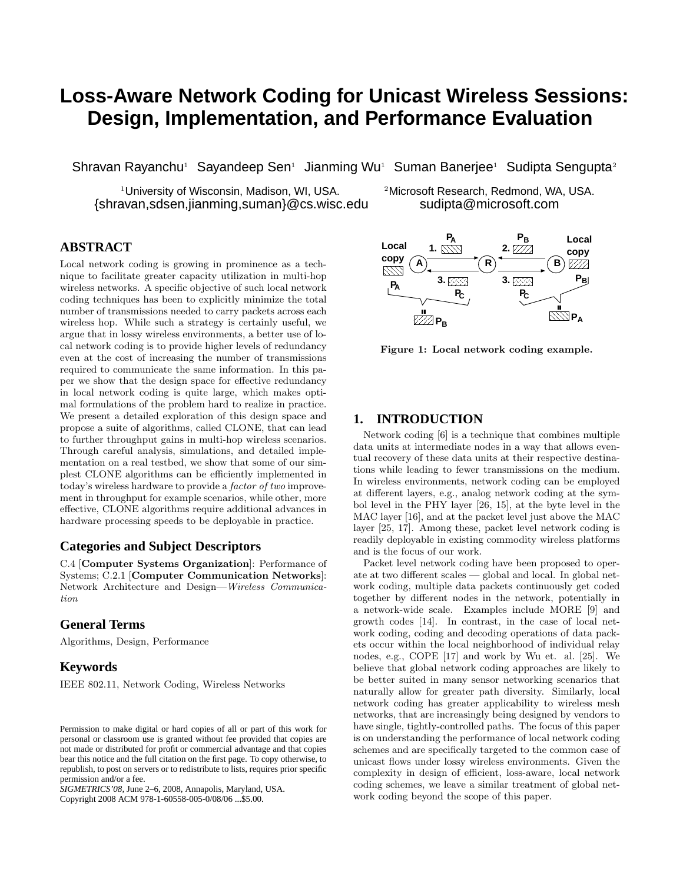# **Loss-Aware Network Coding for Unicast Wireless Sessions: Design, Implementation, and Performance Evaluation**

Shravan Rayanchu<sup>1</sup> Sayandeep Sen<sup>1</sup> Jianming Wu<sup>1</sup> Suman Banerjee<sup>1</sup> Sudipta Sengupta<sup>2</sup>

<sup>1</sup>University of Wisconsin, Madison, WI, USA. <sup>2</sup>Microsoft Research, Redmond, WA, USA. {shravan,sdsen,jianming,suman}@cs.wisc.edu sudipta@microsoft.com

# **ABSTRACT**

Local network coding is growing in prominence as a technique to facilitate greater capacity utilization in multi-hop wireless networks. A specific objective of such local network coding techniques has been to explicitly minimize the total number of transmissions needed to carry packets across each wireless hop. While such a strategy is certainly useful, we argue that in lossy wireless environments, a better use of local network coding is to provide higher levels of redundancy even at the cost of increasing the number of transmissions required to communicate the same information. In this paper we show that the design space for effective redundancy in local network coding is quite large, which makes optimal formulations of the problem hard to realize in practice. We present a detailed exploration of this design space and propose a suite of algorithms, called CLONE, that can lead to further throughput gains in multi-hop wireless scenarios. Through careful analysis, simulations, and detailed implementation on a real testbed, we show that some of our simplest CLONE algorithms can be efficiently implemented in today's wireless hardware to provide a factor of two improvement in throughput for example scenarios, while other, more effective, CLONE algorithms require additional advances in hardware processing speeds to be deployable in practice. Lead network colling is given by interest as a tech-<br>since to find the state respective of the state of the state of the state of the state of the state of the state of the state of the state of the state of the state of

# **Categories and Subject Descriptors**

C.4 [Computer Systems Organization]: Performance of Systems; C.2.1 [Computer Communication Networks]: Network Architecture and Design—Wireless Communication

# **General Terms**

Algorithms, Design, Performance

## **Keywords**

IEEE 802.11, Network Coding, Wireless Networks

*SIGMETRICS'08,* June 2–6, 2008, Annapolis, Maryland, USA.



Figure 1: Local network coding example.

## **1. INTRODUCTION**

Network coding [6] is a technique that combines multiple data units at intermediate nodes in a way that allows eventual recovery of these data units at their respective destinations while leading to fewer transmissions on the medium. In wireless environments, network coding can be employed at different layers, e.g., analog network coding at the symbol level in the PHY layer [26, 15], at the byte level in the MAC layer [16], and at the packet level just above the MAC layer [25, 17]. Among these, packet level network coding is readily deployable in existing commodity wireless platforms and is the focus of our work.

Packet level network coding have been proposed to operate at two different scales — global and local. In global network coding, multiple data packets continuously get coded together by different nodes in the network, potentially in a network-wide scale. Examples include MORE [9] and growth codes [14]. In contrast, in the case of local network coding, coding and decoding operations of data packets occur within the local neighborhood of individual relay nodes, e.g., COPE [17] and work by Wu et. al. [25]. We believe that global network coding approaches are likely to be better suited in many sensor networking scenarios that naturally allow for greater path diversity. Similarly, local network coding has greater applicability to wireless mesh networks, that are increasingly being designed by vendors to have single, tightly-controlled paths. The focus of this paper is on understanding the performance of local network coding schemes and are specifically targeted to the common case of unicast flows under lossy wireless environments. Given the complexity in design of efficient, loss-aware, local network coding schemes, we leave a similar treatment of global network coding beyond the scope of this paper.

Permission to make digital or hard copies of all or part of this work for personal or classroom use is granted without fee provided that copies are not made or distributed for profit or commercial advantage and that copies bear this notice and the full citation on the first page. To copy otherwise, to republish, to post on servers or to redistribute to lists, requires prior specific permission and/or a fee.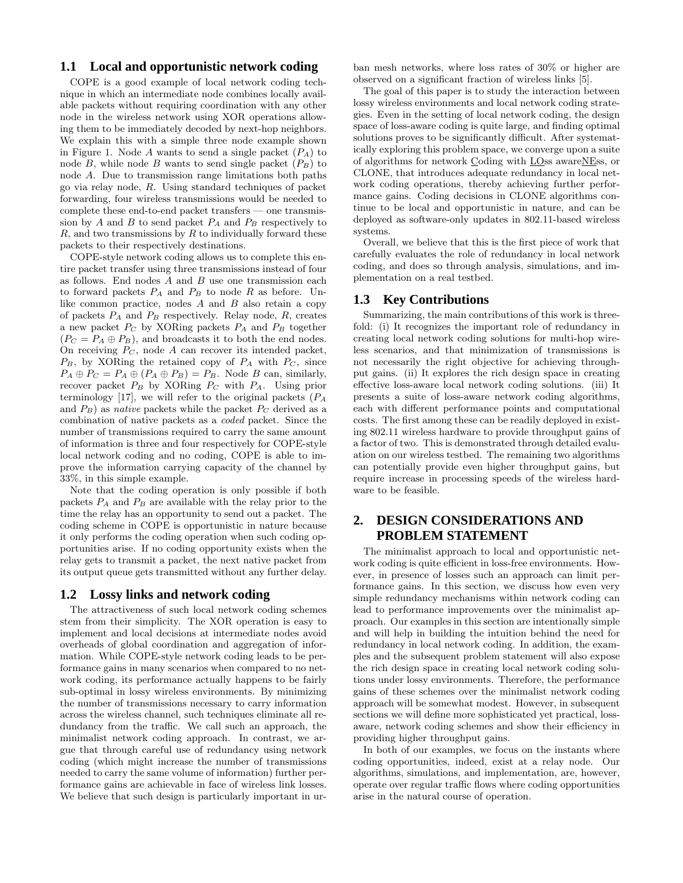# **1.1 Local and opportunistic network coding**

COPE is a good example of local network coding technique in which an intermediate node combines locally available packets without requiring coordination with any other node in the wireless network using XOR operations allowing them to be immediately decoded by next-hop neighbors. We explain this with a simple three node example shown in Figure 1. Node A wants to send a single packet  $(P_A)$  to node B, while node B wants to send single packet  $(P_B)$  to node A. Due to transmission range limitations both paths go via relay node, R. Using standard techniques of packet forwarding, four wireless transmissions would be needed to complete these end-to-end packet transfers — one transmission by A and B to send packet  $P_A$  and  $P_B$  respectively to  $R$ , and two transmissions by  $R$  to individually forward these packets to their respectively destinations.

COPE-style network coding allows us to complete this entire packet transfer using three transmissions instead of four as follows. End nodes  $A$  and  $B$  use one transmission each to forward packets  $P_A$  and  $P_B$  to node  $R$  as before. Unlike common practice, nodes  $A$  and  $B$  also retain a copy of packets  $P_A$  and  $P_B$  respectively. Relay node,  $R$ , creates a new packet  $P_C$  by XORing packets  $P_A$  and  $P_B$  together  $(P_C = P_A \oplus P_B)$ , and broadcasts it to both the end nodes. On receiving  $P_C$ , node A can recover its intended packet,  $P_B$ , by XORing the retained copy of  $P_A$  with  $P_C$ , since  $P_A \oplus P_C = P_A \oplus (P_A \oplus P_B) = P_B$ . Node B can, similarly, recover packet  $P_B$  by XORing  $P_C$  with  $P_A$ . Using prior terminology [17], we will refer to the original packets  $(P_A)$ and  $P_B$ ) as *native* packets while the packet  $P_C$  derived as a combination of native packets as a coded packet. Since the number of transmissions required to carry the same amount of information is three and four respectively for COPE-style local network coding and no coding, COPE is able to improve the information carrying capacity of the channel by 33%, in this simple example.

Note that the coding operation is only possible if both packets  $P_A$  and  $P_B$  are available with the relay prior to the time the relay has an opportunity to send out a packet. The coding scheme in COPE is opportunistic in nature because it only performs the coding operation when such coding opportunities arise. If no coding opportunity exists when the relay gets to transmit a packet, the next native packet from its output queue gets transmitted without any further delay.

## **1.2 Lossy links and network coding**

The attractiveness of such local network coding schemes stem from their simplicity. The XOR operation is easy to implement and local decisions at intermediate nodes avoid overheads of global coordination and aggregation of information. While COPE-style network coding leads to be performance gains in many scenarios when compared to no network coding, its performance actually happens to be fairly sub-optimal in lossy wireless environments. By minimizing the number of transmissions necessary to carry information across the wireless channel, such techniques eliminate all redundancy from the traffic. We call such an approach, the minimalist network coding approach. In contrast, we argue that through careful use of redundancy using network coding (which might increase the number of transmissions needed to carry the same volume of information) further performance gains are achievable in face of wireless link losses. We believe that such design is particularly important in urban mesh networks, where loss rates of 30% or higher are observed on a significant fraction of wireless links [5].

The goal of this paper is to study the interaction between lossy wireless environments and local network coding strategies. Even in the setting of local network coding, the design space of loss-aware coding is quite large, and finding optimal solutions proves to be significantly difficult. After systematically exploring this problem space, we converge upon a suite of algorithms for network Coding with LOss awareNEss, or CLONE, that introduces adequate redundancy in local network coding operations, thereby achieving further performance gains. Coding decisions in CLONE algorithms continue to be local and opportunistic in nature, and can be deployed as software-only updates in 802.11-based wireless systems.

Overall, we believe that this is the first piece of work that carefully evaluates the role of redundancy in local network coding, and does so through analysis, simulations, and implementation on a real testbed.

## **1.3 Key Contributions**

Summarizing, the main contributions of this work is threefold: (i) It recognizes the important role of redundancy in creating local network coding solutions for multi-hop wireless scenarios, and that minimization of transmissions is not necessarily the right objective for achieving throughput gains. (ii) It explores the rich design space in creating effective loss-aware local network coding solutions. (iii) It presents a suite of loss-aware network coding algorithms, each with different performance points and computational costs. The first among these can be readily deployed in existing 802.11 wireless hardware to provide throughput gains of a factor of two. This is demonstrated through detailed evaluation on our wireless testbed. The remaining two algorithms can potentially provide even higher throughput gains, but require increase in processing speeds of the wireless hardware to be feasible.

# **2. DESIGN CONSIDERATIONS AND PROBLEM STATEMENT**

The minimalist approach to local and opportunistic network coding is quite efficient in loss-free environments. However, in presence of losses such an approach can limit performance gains. In this section, we discuss how even very simple redundancy mechanisms within network coding can lead to performance improvements over the minimalist approach. Our examples in this section are intentionally simple and will help in building the intuition behind the need for redundancy in local network coding. In addition, the examples and the subsequent problem statement will also expose the rich design space in creating local network coding solutions under lossy environments. Therefore, the performance gains of these schemes over the minimalist network coding approach will be somewhat modest. However, in subsequent sections we will define more sophisticated yet practical, lossaware, network coding schemes and show their efficiency in providing higher throughput gains.

In both of our examples, we focus on the instants where coding opportunities, indeed, exist at a relay node. Our algorithms, simulations, and implementation, are, however, operate over regular traffic flows where coding opportunities arise in the natural course of operation.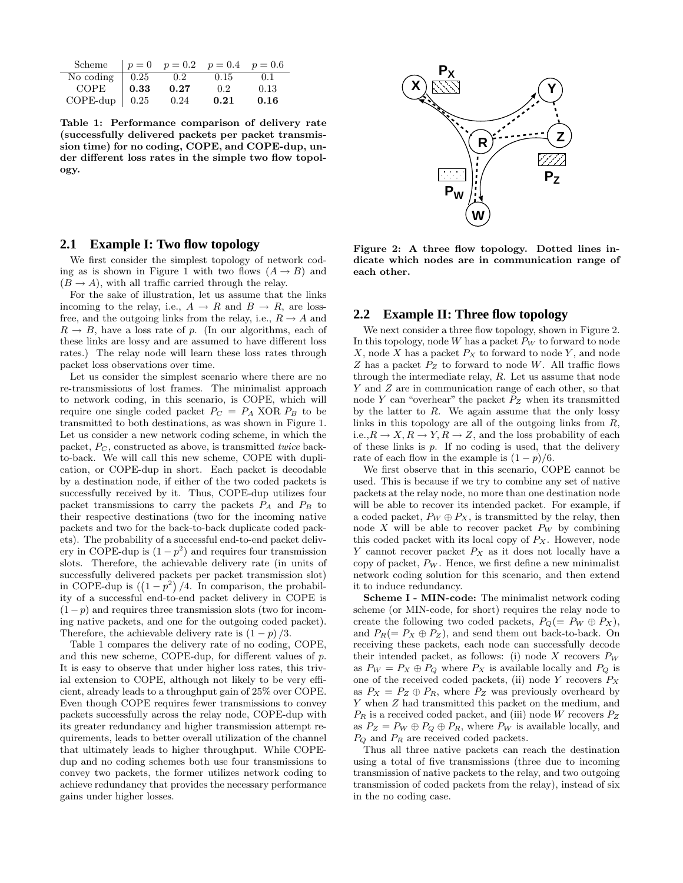| Scheme      |                    | $p = 0$ $p = 0.2$ $p = 0.4$ $p = 0.6$ |                  |      |
|-------------|--------------------|---------------------------------------|------------------|------|
| No coding   | $\vert 0.25 \vert$ | 0.2                                   | 0.15             | 0.1  |
| <b>COPE</b> | 0.33               | 0.27                                  | 0.2 <sub>z</sub> | 0.13 |
| $C$ OPE-dup | 0.25               | 0.24                                  | 0.21             | 0.16 |

Table 1: Performance comparison of delivery rate (successfully delivered packets per packet transmission time) for no coding, COPE, and COPE-dup, under different loss rates in the simple two flow topology.



# **2.1 Example I: Two flow topology**

We first consider the simplest topology of network coding as is shown in Figure 1 with two flows  $(A \rightarrow B)$  and  $(B \to A)$ , with all traffic carried through the relay.

For the sake of illustration, let us assume that the links incoming to the relay, i.e.,  $A \rightarrow R$  and  $B \rightarrow R$ , are lossfree, and the outgoing links from the relay, i.e.,  $R \to A$  and  $R \rightarrow B$ , have a loss rate of p. (In our algorithms, each of these links are lossy and are assumed to have different loss rates.) The relay node will learn these loss rates through packet loss observations over time.

Let us consider the simplest scenario where there are no re-transmissions of lost frames. The minimalist approach to network coding, in this scenario, is COPE, which will require one single coded packet  $P_C = P_A$  XOR  $P_B$  to be transmitted to both destinations, as was shown in Figure 1. Let us consider a new network coding scheme, in which the packet,  $P_C$ , constructed as above, is transmitted *twice* backto-back. We will call this new scheme, COPE with duplication, or COPE-dup in short. Each packet is decodable by a destination node, if either of the two coded packets is successfully received by it. Thus, COPE-dup utilizes four packet transmissions to carry the packets  $P_A$  and  $P_B$  to their respective destinations (two for the incoming native packets and two for the back-to-back duplicate coded packets). The probability of a successful end-to-end packet delivery in COPE-dup is  $(1 - p^2)$  and requires four transmission slots. Therefore, the achievable delivery rate (in units of successfully delivered packets per packet transmission slot) in COPE-dup is  $((1 - p^2) / 4$ . In comparison, the probability of a successful end-to-end packet delivery in COPE is  $(1-p)$  and requires three transmission slots (two for incoming native packets, and one for the outgoing coded packet). Therefore, the achievable delivery rate is  $(1 - p)/3$ .

Table 1 compares the delivery rate of no coding, COPE, and this new scheme, COPE-dup, for different values of p. It is easy to observe that under higher loss rates, this trivial extension to COPE, although not likely to be very efficient, already leads to a throughput gain of 25% over COPE. Even though COPE requires fewer transmissions to convey packets successfully across the relay node, COPE-dup with its greater redundancy and higher transmission attempt requirements, leads to better overall utilization of the channel that ultimately leads to higher throughput. While COPEdup and no coding schemes both use four transmissions to convey two packets, the former utilizes network coding to achieve redundancy that provides the necessary performance gains under higher losses.

Figure 2: A three flow topology. Dotted lines indicate which nodes are in communication range of each other.

### **2.2 Example II: Three flow topology**

We next consider a three flow topology, shown in Figure 2. In this topology, node  $W$  has a packet  $P_W$  to forward to node  $X$ , node  $X$  has a packet  $P_X$  to forward to node  $Y$ , and node  $Z$  has a packet  $P_Z$  to forward to node  $W$ . All traffic flows through the intermediate relay, R. Let us assume that node Y and Z are in communication range of each other, so that node Y can "overhear" the packet  $P_Z$  when its transmitted by the latter to  $R$ . We again assume that the only lossy links in this topology are all of the outgoing links from  $R$ , i.e., $R \to X, R \to Y, R \to Z$ , and the loss probability of each of these links is  $p$ . If no coding is used, that the delivery rate of each flow in the example is  $(1 - p)/6$ .

We first observe that in this scenario, COPE cannot be used. This is because if we try to combine any set of native packets at the relay node, no more than one destination node will be able to recover its intended packet. For example, if a coded packet,  $P_W \oplus P_X$ , is transmitted by the relay, then node X will be able to recover packet  $P_W$  by combining this coded packet with its local copy of  $P_X$ . However, node Y cannot recover packet  $P_X$  as it does not locally have a copy of packet,  $P_W$ . Hence, we first define a new minimalist network coding solution for this scenario, and then extend it to induce redundancy.

Scheme I - MIN-code: The minimalist network coding scheme (or MIN-code, for short) requires the relay node to create the following two coded packets,  $P_Q(= P_W \oplus P_X),$ and  $P_R(= P_X \oplus P_Z)$ , and send them out back-to-back. On receiving these packets, each node can successfully decode their intended packet, as follows: (i) node X recovers  $P_W$ as  $P_W = P_X \oplus P_Q$  where  $P_X$  is available locally and  $P_Q$  is one of the received coded packets, (ii) node Y recovers  $P_X$ as  $P_X = P_Z \oplus P_R$ , where  $P_Z$  was previously overheard by Y when Z had transmitted this packet on the medium, and  $P_R$  is a received coded packet, and (iii) node W recovers  $P_Z$ as  $P_Z = P_W \oplus P_Q \oplus P_R$ , where  $P_W$  is available locally, and  $P_Q$  and  $P_R$  are received coded packets.

Thus all three native packets can reach the destination using a total of five transmissions (three due to incoming transmission of native packets to the relay, and two outgoing transmission of coded packets from the relay), instead of six in the no coding case.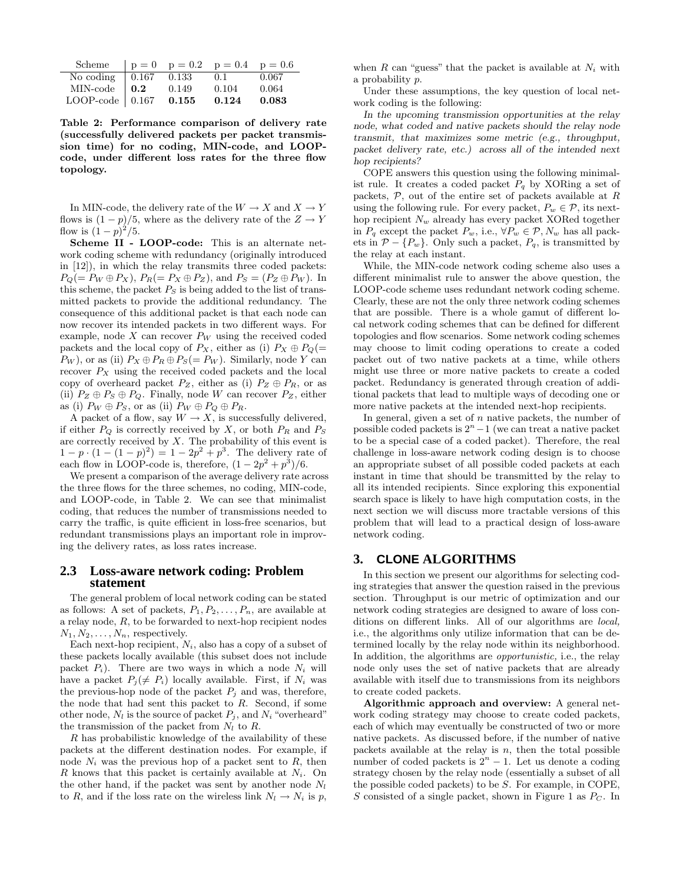| Scheme                                                                                       |                     |       | $p = 0$ $p = 0.2$ $p = 0.4$ $p = 0.6$ |       |
|----------------------------------------------------------------------------------------------|---------------------|-------|---------------------------------------|-------|
|                                                                                              | $\vert 0.167 \vert$ | 0.133 | 0.1                                   | 0.067 |
| No coding $\begin{array}{ l } \hline 0.16' \ \hline 0.10' \ \hline 0.2 \ \hline \end{array}$ |                     | 0.149 | 0.104                                 | 0.064 |
| LOOP-code $\vert$ 0.167                                                                      |                     | 0.155 | 0.124                                 | 0.083 |

Table 2: Performance comparison of delivery rate (successfully delivered packets per packet transmission time) for no coding, MIN-code, and LOOPcode, under different loss rates for the three flow topology.

In MIN-code, the delivery rate of the  $W \to X$  and  $X \to Y$ flows is  $(1 - p)/5$ , where as the delivery rate of the  $Z \rightarrow Y$ flow is  $(1-p)^2/5$ .

Scheme II - LOOP-code: This is an alternate network coding scheme with redundancy (originally introduced in [12]), in which the relay transmits three coded packets:  $P_Q(= P_W \oplus P_X), P_R(= P_X \oplus P_Z), \text{ and } P_S = (P_Z \oplus P_W).$  In this scheme, the packet  $P_S$  is being added to the list of transmitted packets to provide the additional redundancy. The consequence of this additional packet is that each node can now recover its intended packets in two different ways. For example, node  $X$  can recover  $P_W$  using the received coded packets and the local copy of  $P_X$ , either as (i)  $P_X \oplus P_Q(=$  $P_W$ ), or as (ii)  $P_X \oplus P_R \oplus P_S (= P_W)$ . Similarly, node Y can recover  $P_X$  using the received coded packets and the local copy of overheard packet  $P_Z$ , either as (i)  $P_Z \oplus P_R$ , or as (ii)  $P_Z \oplus P_S \oplus P_Q$ . Finally, node W can recover  $P_Z$ , either as (i)  $P_W \oplus P_S$ , or as (ii)  $P_W \oplus P_Q \oplus P_R$ .

A packet of a flow, say  $W \to X$ , is successfully delivered, if either  $P_Q$  is correctly received by X, or both  $P_R$  and  $P_S$ are correctly received by  $X$ . The probability of this event is  $1 - p \cdot (1 - (1 - p)^2) = 1 - 2p^2 + p^3$ . The delivery rate of each flow in LOOP-code is, therefore,  $(1 - 2p^2 + p^3)/6$ .

We present a comparison of the average delivery rate across the three flows for the three schemes, no coding, MIN-code, and LOOP-code, in Table 2. We can see that minimalist coding, that reduces the number of transmissions needed to carry the traffic, is quite efficient in loss-free scenarios, but redundant transmissions plays an important role in improving the delivery rates, as loss rates increase.

#### **2.3 Loss-aware network coding: Problem statement**

The general problem of local network coding can be stated as follows: A set of packets,  $P_1, P_2, \ldots, P_n$ , are available at a relay node, R, to be forwarded to next-hop recipient nodes  $N_1, N_2, \ldots, N_n$ , respectively.

Each next-hop recipient,  $N_i$ , also has a copy of a subset of these packets locally available (this subset does not include packet  $P_i$ ). There are two ways in which a node  $N_i$  will have a packet  $P_i (\neq P_i)$  locally available. First, if  $N_i$  was the previous-hop node of the packet  $P_i$  and was, therefore, the node that had sent this packet to  $R$ . Second, if some other node,  $N_l$  is the source of packet  $P_j$ , and  $N_i$  "overheard" the transmission of the packet from  $N_l$  to R.

R has probabilistic knowledge of the availability of these packets at the different destination nodes. For example, if node  $N_i$  was the previous hop of a packet sent to R, then  $R$  knows that this packet is certainly available at  $N_i$ . On the other hand, if the packet was sent by another node  $N_l$ to R, and if the loss rate on the wireless link  $N_l \rightarrow N_i$  is p,

when R can "guess" that the packet is available at  $N_i$  with a probability p.

Under these assumptions, the key question of local network coding is the following:

In the upcoming transmission opportunities at the relay node, what coded and native packets should the relay node transmit, that maximizes some metric (e.g., throughput, packet delivery rate, etc.) across all of the intended next hop recipients?

COPE answers this question using the following minimalist rule. It creates a coded packet  $P_q$  by XORing a set of packets,  $P$ , out of the entire set of packets available at  $R$ using the following rule. For every packet,  $P_w \in \mathcal{P}$ , its nexthop recipient  $N_w$  already has every packet XORed together in  $P_q$  except the packet  $P_w$ , i.e.,  $\forall P_w \in \mathcal{P}, N_w$  has all packets in  $\mathcal{P} - \{P_w\}$ . Only such a packet,  $P_q$ , is transmitted by the relay at each instant.

While, the MIN-code network coding scheme also uses a different minimalist rule to answer the above question, the LOOP-code scheme uses redundant network coding scheme. Clearly, these are not the only three network coding schemes that are possible. There is a whole gamut of different local network coding schemes that can be defined for different topologies and flow scenarios. Some network coding schemes may choose to limit coding operations to create a coded packet out of two native packets at a time, while others might use three or more native packets to create a coded packet. Redundancy is generated through creation of additional packets that lead to multiple ways of decoding one or more native packets at the intended next-hop recipients.

In general, given a set of  $n$  native packets, the number of possible coded packets is  $2<sup>n</sup> - 1$  (we can treat a native packet to be a special case of a coded packet). Therefore, the real challenge in loss-aware network coding design is to choose an appropriate subset of all possible coded packets at each instant in time that should be transmitted by the relay to all its intended recipients. Since exploring this exponential search space is likely to have high computation costs, in the next section we will discuss more tractable versions of this problem that will lead to a practical design of loss-aware network coding.

# **3. CLONE ALGORITHMS**

In this section we present our algorithms for selecting coding strategies that answer the question raised in the previous section. Throughput is our metric of optimization and our network coding strategies are designed to aware of loss conditions on different links. All of our algorithms are local, i.e., the algorithms only utilize information that can be determined locally by the relay node within its neighborhood. In addition, the algorithms are *opportunistic*, i.e., the relay node only uses the set of native packets that are already available with itself due to transmissions from its neighbors to create coded packets.

Algorithmic approach and overview: A general network coding strategy may choose to create coded packets, each of which may eventually be constructed of two or more native packets. As discussed before, if the number of native packets available at the relay is  $n$ , then the total possible number of coded packets is  $2<sup>n</sup> - 1$ . Let us denote a coding strategy chosen by the relay node (essentially a subset of all the possible coded packets) to be S. For example, in COPE, S consisted of a single packet, shown in Figure 1 as  $P<sub>C</sub>$ . In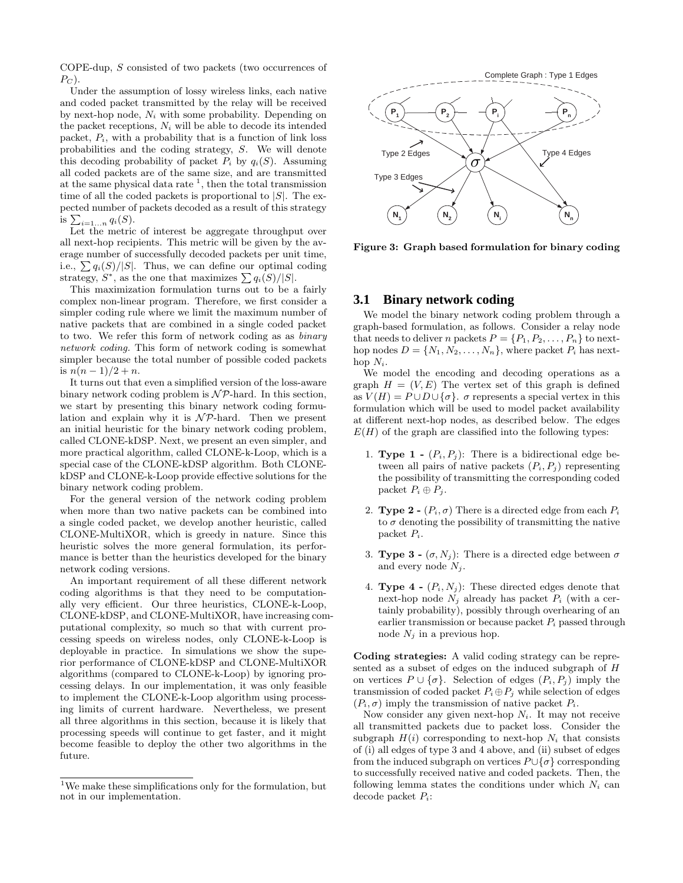COPE-dup, S consisted of two packets (two occurrences of  $P_C$ ).

Under the assumption of lossy wireless links, each native and coded packet transmitted by the relay will be received by next-hop node,  $N_i$  with some probability. Depending on the packet receptions,  $N_i$  will be able to decode its intended packet,  $P_i$ , with a probability that is a function of link loss probabilities and the coding strategy, S. We will denote this decoding probability of packet  $P_i$  by  $q_i(S)$ . Assuming all coded packets are of the same size, and are transmitted at the same physical data rate  $\frac{1}{1}$ , then the total transmission time of all the coded packets is proportional to  $|S|$ . The expected number of packets decoded as a result of this strategy is  $\sum_{i=1...n} q_i(S)$ .

Let the metric of interest be aggregate throughput over all next-hop recipients. This metric will be given by the average number of successfully decoded packets per unit time, i.e.,  $\sum q_i(S)/|S|$ . Thus, we can define our optimal coding strategy,  $S^*$ , as the one that maximizes  $\sum q_i(S)/|S|$ .

This maximization formulation turns out to be a fairly complex non-linear program. Therefore, we first consider a simpler coding rule where we limit the maximum number of native packets that are combined in a single coded packet to two. We refer this form of network coding as as binary network coding. This form of network coding is somewhat simpler because the total number of possible coded packets is  $n(n-1)/2 + n$ .

It turns out that even a simplified version of the loss-aware binary network coding problem is  $N\mathcal{P}$ -hard. In this section, we start by presenting this binary network coding formulation and explain why it is  $\mathcal{NP}$ -hard. Then we present an initial heuristic for the binary network coding problem, called CLONE-kDSP. Next, we present an even simpler, and more practical algorithm, called CLONE-k-Loop, which is a special case of the CLONE-kDSP algorithm. Both CLONEkDSP and CLONE-k-Loop provide effective solutions for the binary network coding problem.

For the general version of the network coding problem when more than two native packets can be combined into a single coded packet, we develop another heuristic, called CLONE-MultiXOR, which is greedy in nature. Since this heuristic solves the more general formulation, its performance is better than the heuristics developed for the binary network coding versions.

An important requirement of all these different network coding algorithms is that they need to be computationally very efficient. Our three heuristics, CLONE-k-Loop, CLONE-kDSP, and CLONE-MultiXOR, have increasing computational complexity, so much so that with current processing speeds on wireless nodes, only CLONE-k-Loop is deployable in practice. In simulations we show the superior performance of CLONE-kDSP and CLONE-MultiXOR algorithms (compared to CLONE-k-Loop) by ignoring processing delays. In our implementation, it was only feasible to implement the CLONE-k-Loop algorithm using processing limits of current hardware. Nevertheless, we present all three algorithms in this section, because it is likely that processing speeds will continue to get faster, and it might become feasible to deploy the other two algorithms in the future.





Figure 3: Graph based formulation for binary coding

## **3.1 Binary network coding**

We model the binary network coding problem through a graph-based formulation, as follows. Consider a relay node that needs to deliver n packets  $P = \{P_1, P_2, \ldots, P_n\}$  to nexthop nodes  $D = \{N_1, N_2, \ldots, N_n\}$ , where packet  $P_i$  has nexthop  $N_i$ .

We model the encoding and decoding operations as a graph  $H = (V, E)$  The vertex set of this graph is defined as  $V(H) = P \cup D \cup {\sigma}$ .  $\sigma$  represents a special vertex in this formulation which will be used to model packet availability at different next-hop nodes, as described below. The edges  $E(H)$  of the graph are classified into the following types:

- 1. **Type 1 -**  $(P_i, P_j)$ : There is a bidirectional edge between all pairs of native packets  $(P_i, P_j)$  representing the possibility of transmitting the corresponding coded packet  $P_i \oplus P_j$ .
- 2. **Type 2 -**  $(P_i, \sigma)$  There is a directed edge from each  $P_i$ to  $\sigma$  denoting the possibility of transmitting the native packet  $P_i$ .
- 3. **Type 3 -**  $(\sigma, N_i)$ : There is a directed edge between  $\sigma$ and every node  $N_i$ .
- 4. **Type 4 -**  $(P_i, N_j)$ : These directed edges denote that next-hop node  $N_i$  already has packet  $P_i$  (with a certainly probability), possibly through overhearing of an earlier transmission or because packet  $P_i$  passed through node  $N_j$  in a previous hop.

Coding strategies: A valid coding strategy can be represented as a subset of edges on the induced subgraph of H on vertices  $P \cup {\sigma}$ . Selection of edges  $(P_i, P_j)$  imply the transmission of coded packet  $P_i \oplus P_j$  while selection of edges  $(P_i, \sigma)$  imply the transmission of native packet  $P_i$ .

Now consider any given next-hop  $N_i$ . It may not receive all transmitted packets due to packet loss. Consider the subgraph  $H(i)$  corresponding to next-hop  $N_i$  that consists of (i) all edges of type 3 and 4 above, and (ii) subset of edges from the induced subgraph on vertices  $P \cup \{\sigma\}$  corresponding to successfully received native and coded packets. Then, the following lemma states the conditions under which  $N_i$  can decode packet  $P_i$ :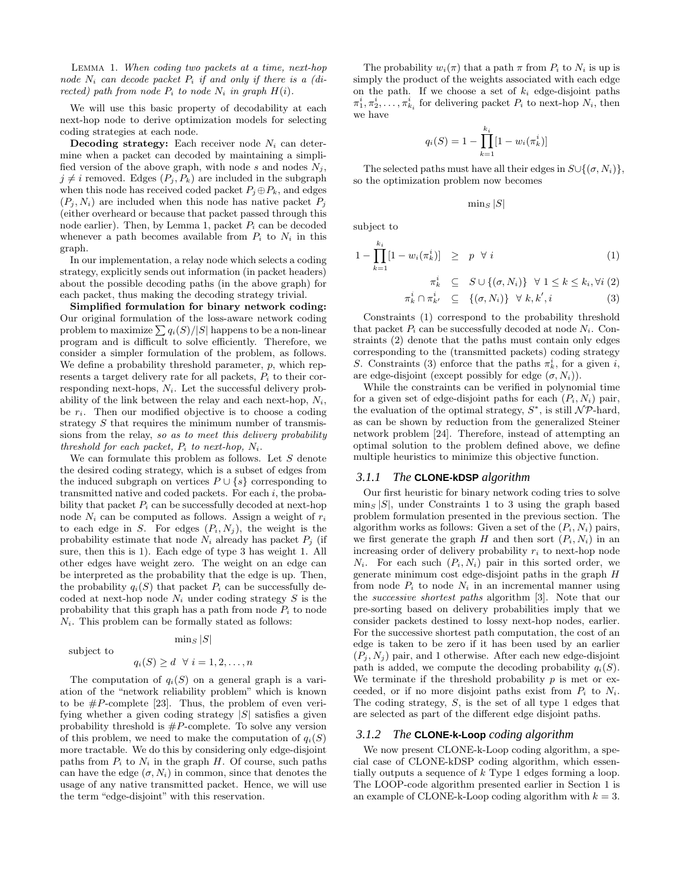Lemma 1. When coding two packets at a time, next-hop node  $N_i$  can decode packet  $P_i$  if and only if there is a (directed) path from node  $P_i$  to node  $N_i$  in graph  $H(i)$ .

We will use this basic property of decodability at each next-hop node to derive optimization models for selecting coding strategies at each node.

**Decoding strategy:** Each receiver node  $N_i$  can determine when a packet can decoded by maintaining a simplified version of the above graph, with node s and nodes  $N_i$ ,  $j \neq i$  removed. Edges  $(P_j, P_k)$  are included in the subgraph when this node has received coded packet  $P_j \oplus P_k$ , and edges  $(P_i, N_i)$  are included when this node has native packet  $P_i$ (either overheard or because that packet passed through this node earlier). Then, by Lemma 1, packet  $P_i$  can be decoded whenever a path becomes available from  $P_i$  to  $N_i$  in this graph.

In our implementation, a relay node which selects a coding strategy, explicitly sends out information (in packet headers) about the possible decoding paths (in the above graph) for each packet, thus making the decoding strategy trivial.

Simplified formulation for binary network coding: Our original formulation of the loss-aware network coding problem to maximize  $\sum q_i(S)/|S|$  happens to be a non-linear program and is difficult to solve efficiently. Therefore, we consider a simpler formulation of the problem, as follows. We define a probability threshold parameter, p, which represents a target delivery rate for all packets,  $P_i$  to their corresponding next-hops,  $N_i$ . Let the successful delivery probability of the link between the relay and each next-hop,  $N_i$ , be  $r_i$ . Then our modified objective is to choose a coding strategy  $S$  that requires the minimum number of transmissions from the relay, so as to meet this delivery probability threshold for each packet,  $P_i$  to next-hop,  $N_i$ .

We can formulate this problem as follows. Let  $S$  denote the desired coding strategy, which is a subset of edges from the induced subgraph on vertices  $P \cup \{s\}$  corresponding to transmitted native and coded packets. For each i, the probability that packet  $P_i$  can be successfully decoded at next-hop node  $N_i$  can be computed as follows. Assign a weight of  $r_i$ to each edge in S. For edges  $(P_i, N_j)$ , the weight is the probability estimate that node  $N_i$  already has packet  $P_j$  (if sure, then this is 1). Each edge of type 3 has weight 1. All other edges have weight zero. The weight on an edge can be interpreted as the probability that the edge is up. Then, the probability  $q_i(S)$  that packet  $P_i$  can be successfully decoded at next-hop node  $N_i$  under coding strategy  $S$  is the probability that this graph has a path from node  $P_i$  to node  $N_i$ . This problem can be formally stated as follows:

subject to

$$
q_i(S) \ge d \ \forall \ i = 1, 2, \dots, n
$$

 $\min_{S} |S|$ 

The computation of  $q_i(S)$  on a general graph is a variation of the "network reliability problem" which is known to be  $\#P$ -complete [23]. Thus, the problem of even verifying whether a given coding strategy  $|S|$  satisfies a given probability threshold is  $#P$ -complete. To solve any version of this problem, we need to make the computation of  $q_i(S)$ more tractable. We do this by considering only edge-disjoint paths from  $P_i$  to  $N_i$  in the graph H. Of course, such paths can have the edge  $(\sigma, N_i)$  in common, since that denotes the usage of any native transmitted packet. Hence, we will use the term "edge-disjoint" with this reservation.

The probability  $w_i(\pi)$  that a path  $\pi$  from  $P_i$  to  $N_i$  is up is simply the product of the weights associated with each edge on the path. If we choose a set of  $k_i$  edge-disjoint paths  $\pi_1^i, \pi_2^i, \ldots, \pi_{k_i}^i$  for delivering packet  $P_i$  to next-hop  $N_i$ , then we have

$$
q_i(S) = 1 - \prod_{k=1}^{k_i} [1 - w_i(\pi_k^i)]
$$

The selected paths must have all their edges in  $S\cup\{(\sigma,N_i)\},$ so the optimization problem now becomes

 $\min_{S} |S|$ 

subject to

$$
1 - \prod_{k=1}^{k_i} [1 - w_i(\pi_k^i)] \ge p \quad \forall \ i \tag{1}
$$
  

$$
\pi_k^i \subseteq S \cup \{(\sigma, N_i)\} \quad \forall \ 1 \le k \le k_i, \forall i \ (2)
$$

$$
\pi^i_k \cap \pi^i_{k'} \subseteq \{(\sigma, N_i)\} \ \forall \ k, k', i \tag{3}
$$

Constraints (1) correspond to the probability threshold that packet  $P_i$  can be successfully decoded at node  $N_i$ . Constraints (2) denote that the paths must contain only edges corresponding to the (transmitted packets) coding strategy S. Constraints (3) enforce that the paths  $\pi_k^i$ , for a given i, are edge-disjoint (except possibly for edge  $(\sigma, N_i)$ ).

While the constraints can be verified in polynomial time for a given set of edge-disjoint paths for each  $(P_i, N_i)$  pair, the evaluation of the optimal strategy,  $S^*$ , is still  $\mathcal{NP}$ -hard, as can be shown by reduction from the generalized Steiner network problem [24]. Therefore, instead of attempting an optimal solution to the problem defined above, we define multiple heuristics to minimize this objective function.

#### *3.1.1 The* **CLONE-kDSP** *algorithm*

Our first heuristic for binary network coding tries to solve  $\min_{S} |S|$ , under Constraints 1 to 3 using the graph based problem formulation presented in the previous section. The algorithm works as follows: Given a set of the  $(P_i, N_i)$  pairs, we first generate the graph H and then sort  $(P_i, N_i)$  in an increasing order of delivery probability  $r_i$  to next-hop node  $N_i$ . For each such  $(P_i, N_i)$  pair in this sorted order, we generate minimum cost edge-disjoint paths in the graph H from node  $P_i$  to node  $N_i$  in an incremental manner using the successive shortest paths algorithm [3]. Note that our pre-sorting based on delivery probabilities imply that we consider packets destined to lossy next-hop nodes, earlier. For the successive shortest path computation, the cost of an edge is taken to be zero if it has been used by an earlier  $(P_i, N_i)$  pair, and 1 otherwise. After each new edge-disjoint path is added, we compute the decoding probability  $q_i(S)$ . We terminate if the threshold probability  $p$  is met or exceeded, or if no more disjoint paths exist from  $P_i$  to  $N_i$ . The coding strategy, S, is the set of all type 1 edges that are selected as part of the different edge disjoint paths.

#### *3.1.2 The* **CLONE-k-Loop** *coding algorithm*

We now present CLONE-k-Loop coding algorithm, a special case of CLONE-kDSP coding algorithm, which essentially outputs a sequence of k Type 1 edges forming a loop. The LOOP-code algorithm presented earlier in Section 1 is an example of CLONE-k-Loop coding algorithm with  $k = 3$ .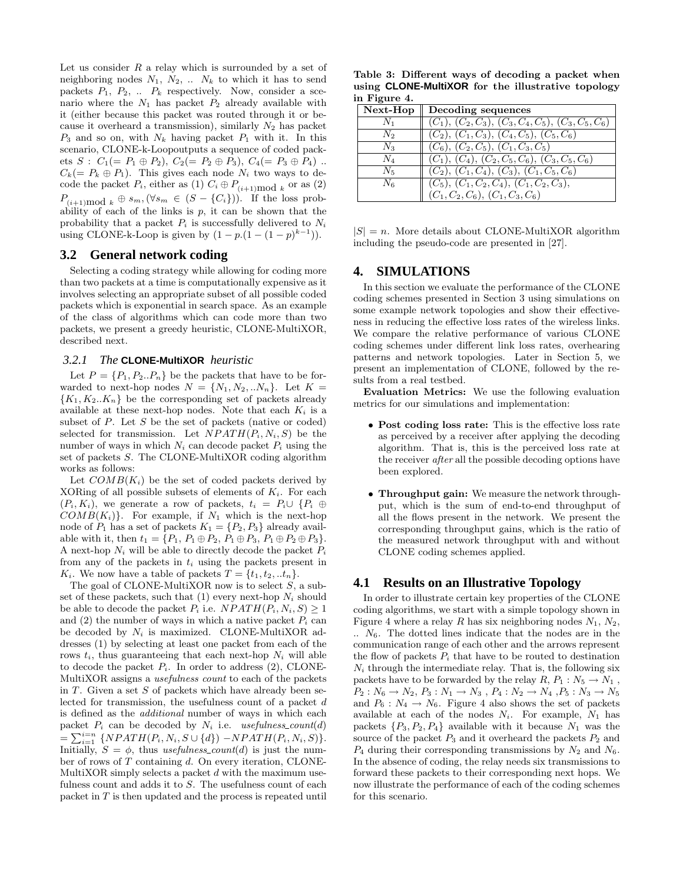Let us consider  $R$  a relay which is surrounded by a set of neighboring nodes  $N_1$ ,  $N_2$ , ...  $N_k$  to which it has to send packets  $P_1$ ,  $P_2$ , ...  $P_k$  respectively. Now, consider a scenario where the  $N_1$  has packet  $P_2$  already available with it (either because this packet was routed through it or because it overheard a transmission), similarly  $N_2$  has packet  $P_3$  and so on, with  $N_k$  having packet  $P_1$  with it. In this scenario, CLONE-k-Loopoutputs a sequence of coded packets  $S: C_1(= P_1 \oplus P_2), C_2(= P_2 \oplus P_3), C_4(= P_3 \oplus P_4)$ ..  $C_k(= P_k \oplus P_1)$ . This gives each node  $N_i$  two ways to decode the packet  $P_i$ , either as (1)  $C_i \oplus P_{(i+1) \text{mod } k}$  or as (2)  $P_{(i+1)\text{mod }k} \oplus s_m, (\forall s_m \in (S - \{C_i\}))$ . If the loss probability of each of the links is  $p$ , it can be shown that the probability that a packet  $P_i$  is successfully delivered to  $N_i$ using CLONE-k-Loop is given by  $(1 - p.(1 - (1 - p)^{k-1})).$ 

# **3.2 General network coding**

Selecting a coding strategy while allowing for coding more than two packets at a time is computationally expensive as it involves selecting an appropriate subset of all possible coded packets which is exponential in search space. As an example of the class of algorithms which can code more than two packets, we present a greedy heuristic, CLONE-MultiXOR, described next.

#### *3.2.1 The* **CLONE-MultiXOR** *heuristic*

Let  $P = \{P_1, P_2..P_n\}$  be the packets that have to be forwarded to next-hop nodes  $N = \{N_1, N_2, ... N_n\}$ . Let  $K =$  ${K_1, K_2..K_n}$  be the corresponding set of packets already available at these next-hop nodes. Note that each  $K_i$  is a subset of  $P$ . Let  $S$  be the set of packets (native or coded) selected for transmission. Let  $NPATH(P_i, N_i, S)$  be the number of ways in which  $N_i$  can decode packet  $P_i$  using the set of packets S. The CLONE-MultiXOR coding algorithm works as follows:

Let  $COMB(K_i)$  be the set of coded packets derived by XORing of all possible subsets of elements of  $K_i$ . For each  $(P_i, K_i)$ , we generate a row of packets,  $t_i = P_i \cup \{P_i \oplus P_j\}$  $COMB(K_i)$ . For example, if  $N_1$  which is the next-hop node of  $P_1$  has a set of packets  $K_1 = \{P_2, P_3\}$  already available with it, then  $t_1 = \{P_1, P_1 \oplus P_2, P_1 \oplus P_3, P_1 \oplus P_2 \oplus P_3\}.$ A next-hop  $N_i$  will be able to directly decode the packet  $P_i$ from any of the packets in  $t_i$  using the packets present in  $K_i$ . We now have a table of packets  $T = \{t_1, t_2, ... t_n\}$ .

The goal of CLONE-MultiXOR now is to select  $S$ , a subset of these packets, such that  $(1)$  every next-hop  $N_i$  should be able to decode the packet  $P_i$  i.e.  $NPATH(P_i, N_i, S) \geq 1$ and  $(2)$  the number of ways in which a native packet  $P_i$  can be decoded by  $N_i$  is maximized. CLONE-MultiXOR addresses (1) by selecting at least one packet from each of the rows  $t_i$ , thus guaranteeing that each next-hop  $N_i$  will able to decode the packet  $P_i$ . In order to address  $(2)$ , CLONE-MultiXOR assigns a usefulness count to each of the packets in  $T$ . Given a set  $S$  of packets which have already been selected for transmission, the usefulness count of a packet d is defined as the additional number of ways in which each packet  $P_i$  can be decoded by  $N_i$  i.e. usefulness\_count(d) =  $\sum_{i=1}^{i=n} \{NPATH(P_i, N_i, S \cup \{d\}) - NPATH(P_i, N_i, S)\}.$ Initially,  $S = \phi$ , thus usefulness count(d) is just the number of rows of  $T$  containing  $d$ . On every iteration, CLONE-MultiXOR simply selects a packet  $d$  with the maximum usefulness count and adds it to S. The usefulness count of each packet in T is then updated and the process is repeated until

Table 3: Different ways of decoding a packet when using **CLONE-MultiXOR** for the illustrative topology in Figure 4.

| ------------    |                                                       |  |  |
|-----------------|-------------------------------------------------------|--|--|
| $\mid$ Next-Hop | Decoding sequences                                    |  |  |
| $N_1$           | $(C_1), (C_2, C_3), (C_3, C_4, C_5), (C_3, C_5, C_6)$ |  |  |
| N <sub>2</sub>  | $(C_2), (C_1, C_3), (C_4, C_5), (C_5, C_6)$           |  |  |
| $N_{3}$         | $(C_6), (C_2, C_5), (C_1, C_3, C_5)$                  |  |  |
| $N_{4}$         | $(C_1), (C_4), (C_2, C_5, C_6), (C_3, C_5, C_6)$      |  |  |
| $N_{5}$         | $(C_2), (C_1, C_4), (C_3), (C_1, C_5, C_6)$           |  |  |
| N <sub>6</sub>  | $(C_5), (C_1, C_2, C_4), (C_1, C_2, C_3),$            |  |  |
|                 | $(C_1, C_2, C_6), (C_1, C_3, C_6)$                    |  |  |

 $|S| = n$ . More details about CLONE-MultiXOR algorithm including the pseudo-code are presented in [27].

## **4. SIMULATIONS**

In this section we evaluate the performance of the CLONE coding schemes presented in Section 3 using simulations on some example network topologies and show their effectiveness in reducing the effective loss rates of the wireless links. We compare the relative performance of various CLONE coding schemes under different link loss rates, overhearing patterns and network topologies. Later in Section 5, we present an implementation of CLONE, followed by the results from a real testbed.

Evaluation Metrics: We use the following evaluation metrics for our simulations and implementation:

- Post coding loss rate: This is the effective loss rate as perceived by a receiver after applying the decoding algorithm. That is, this is the perceived loss rate at the receiver after all the possible decoding options have been explored.
- Throughput gain: We measure the network throughput, which is the sum of end-to-end throughput of all the flows present in the network. We present the corresponding throughput gains, which is the ratio of the measured network throughput with and without CLONE coding schemes applied.

# **4.1 Results on an Illustrative Topology**

In order to illustrate certain key properties of the CLONE coding algorithms, we start with a simple topology shown in Figure 4 where a relay R has six neighboring nodes  $N_1$ ,  $N_2$ ,  $\ldots$   $N_6$ . The dotted lines indicate that the nodes are in the communication range of each other and the arrows represent the flow of packets  $P_i$  that have to be routed to destination  $N_i$  through the intermediate relay. That is, the following six packets have to be forwarded by the relay  $R, P_1 : N_5 \to N_1$ ,  $P_2: N_6 \to N_2, P_3: N_1 \to N_3, P_4: N_2 \to N_4, P_5: N_3 \to N_5$ and  $P_6: N_4 \to N_6$ . Figure 4 also shows the set of packets available at each of the nodes  $N_i$ . For example,  $N_1$  has packets  $\{P_3, P_2, P_4\}$  available with it because  $N_1$  was the source of the packet  $P_3$  and it overheard the packets  $P_2$  and  $P_4$  during their corresponding transmissions by  $N_2$  and  $N_6$ . In the absence of coding, the relay needs six transmissions to forward these packets to their corresponding next hops. We now illustrate the performance of each of the coding schemes for this scenario.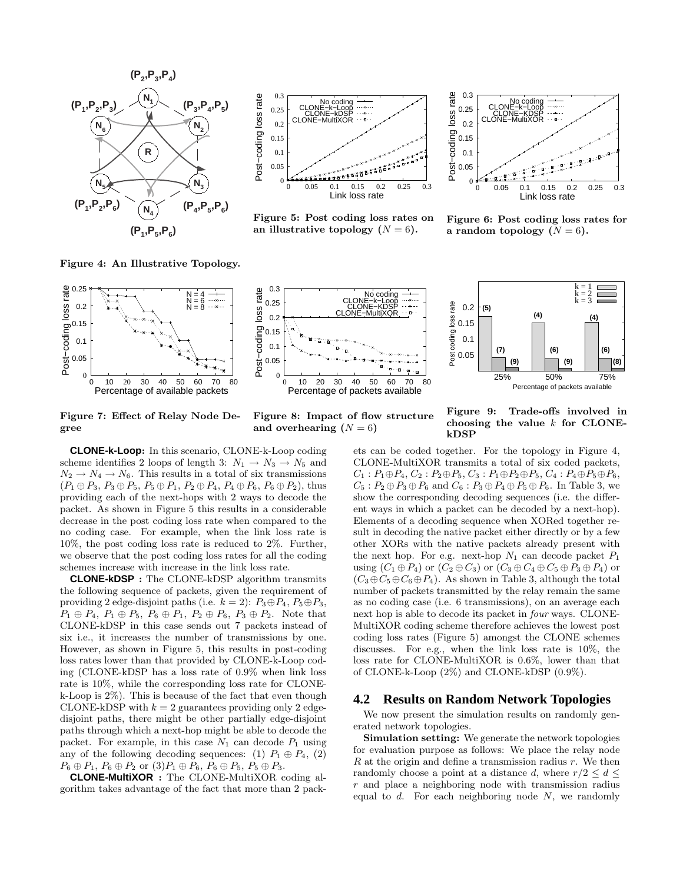

Figure 4: An Illustrative Topology.

Figure 7: Effect of Relay Node De-

gree



Figure 5: Post coding loss rates on an illustrative topology  $(N = 6)$ .



Figure 6: Post coding loss rates for a random topology  $(N = 6)$ .



Figure 8: Impact of flow structure and overhearing  $(N = 6)$ 



Figure 9: Trade-offs involved in choosing the value  $k$  for CLONEkDSP

**CLONE-k-Loop**: In this scenario, CLONE-k-Loop coding scheme identifies 2 loops of length 3:  $N_1 \rightarrow N_3 \rightarrow N_5$  and  $N_2 \rightarrow N_4 \rightarrow N_6$ . This results in a total of six transmissions  $(P_1 \oplus P_3, P_3 \oplus P_5, P_5 \oplus P_1, P_2 \oplus P_4, P_4 \oplus P_6, P_6 \oplus P_2)$ , thus providing each of the next-hops with 2 ways to decode the packet. As shown in Figure 5 this results in a considerable decrease in the post coding loss rate when compared to the no coding case. For example, when the link loss rate is 10%, the post coding loss rate is reduced to 2%. Further, we observe that the post coding loss rates for all the coding schemes increase with increase in the link loss rate.

**CLONE-kDSP** : The CLONE-kDSP algorithm transmits the following sequence of packets, given the requirement of providing 2 edge-disjoint paths (i.e.  $k = 2$ ):  $P_3 \oplus P_4$ ,  $P_5 \oplus P_3$ ,  $P_1 \oplus P_4$ ,  $P_1 \oplus P_5$ ,  $P_6 \oplus P_1$ ,  $P_2 \oplus P_6$ ,  $P_3 \oplus P_2$ . Note that CLONE-kDSP in this case sends out 7 packets instead of six i.e., it increases the number of transmissions by one. However, as shown in Figure 5, this results in post-coding loss rates lower than that provided by CLONE-k-Loop coding (CLONE-kDSP has a loss rate of 0.9% when link loss rate is 10%, while the corresponding loss rate for CLONEk-Loop is 2%). This is because of the fact that even though CLONE-kDSP with  $k = 2$  guarantees providing only 2 edgedisjoint paths, there might be other partially edge-disjoint paths through which a next-hop might be able to decode the packet. For example, in this case  $N_1$  can decode  $P_1$  using any of the following decoding sequences: (1)  $P_1 \oplus P_4$ , (2)  $P_6 \oplus P_1$ ,  $P_6 \oplus P_2$  or  $(3)P_1 \oplus P_6$ ,  $P_6 \oplus P_5$ ,  $P_5 \oplus P_3$ .

**CLONE-MultiXOR** : The CLONE-MultiXOR coding algorithm takes advantage of the fact that more than 2 packets can be coded together. For the topology in Figure 4, CLONE-MultiXOR transmits a total of six coded packets,  $C_1$ :  $P_1 \oplus P_4$ ,  $C_2$ :  $P_2 \oplus P_5$ ,  $C_3$ :  $P_1 \oplus P_2 \oplus P_5$ ,  $C_4$ :  $P_4 \oplus P_5 \oplus P_6$ ,  $C_5: P_2 \oplus P_3 \oplus P_6$  and  $C_6: P_3 \oplus P_4 \oplus P_5 \oplus P_6$ . In Table 3, we show the corresponding decoding sequences (i.e. the different ways in which a packet can be decoded by a next-hop). Elements of a decoding sequence when XORed together result in decoding the native packet either directly or by a few other XORs with the native packets already present with the next hop. For e.g. next-hop  $N_1$  can decode packet  $P_1$ using  $(C_1 \oplus P_4)$  or  $(C_2 \oplus C_3)$  or  $(C_3 \oplus C_4 \oplus C_5 \oplus P_3 \oplus P_4)$  or  $(C_3 \oplus C_5 \oplus C_6 \oplus P_4)$ . As shown in Table 3, although the total number of packets transmitted by the relay remain the same as no coding case (i.e. 6 transmissions), on an average each next hop is able to decode its packet in four ways. CLONE-MultiXOR coding scheme therefore achieves the lowest post coding loss rates (Figure 5) amongst the CLONE schemes discusses. For e.g., when the link loss rate is 10%, the loss rate for CLONE-MultiXOR is 0.6%, lower than that of CLONE-k-Loop (2%) and CLONE-kDSP (0.9%).

#### **4.2 Results on Random Network Topologies**

We now present the simulation results on randomly generated network topologies.

Simulation setting: We generate the network topologies for evaluation purpose as follows: We place the relay node  $R$  at the origin and define a transmission radius  $r$ . We then randomly choose a point at a distance d, where  $r/2 \leq d \leq$  $r$  and place a neighboring node with transmission radius equal to  $d$ . For each neighboring node  $N$ , we randomly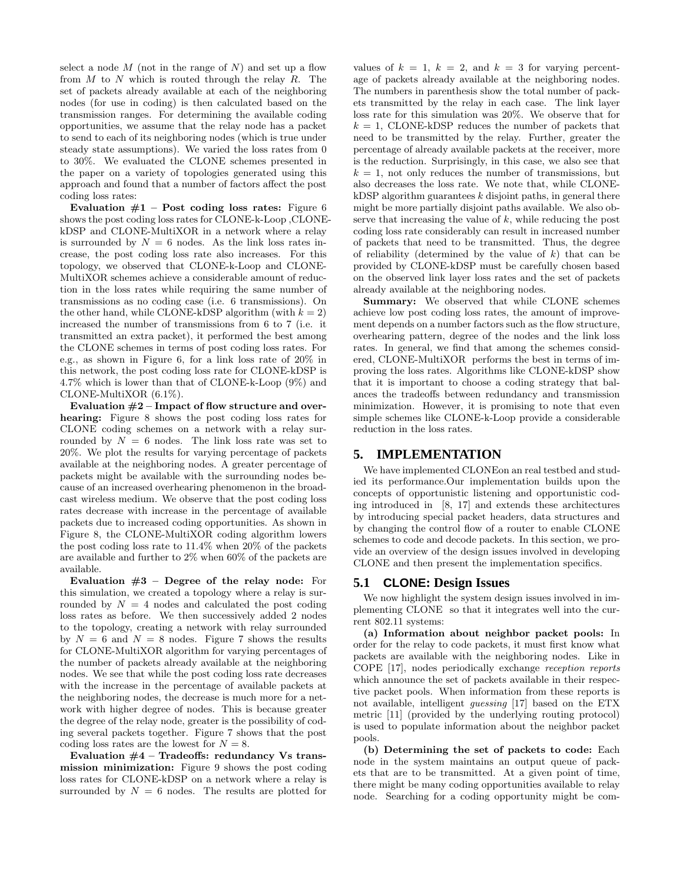select a node  $M$  (not in the range of  $N$ ) and set up a flow from  $M$  to  $N$  which is routed through the relay  $R$ . The set of packets already available at each of the neighboring nodes (for use in coding) is then calculated based on the transmission ranges. For determining the available coding opportunities, we assume that the relay node has a packet to send to each of its neighboring nodes (which is true under steady state assumptions). We varied the loss rates from 0 to 30%. We evaluated the CLONE schemes presented in the paper on a variety of topologies generated using this approach and found that a number of factors affect the post coding loss rates:

Evaluation  $#1$  – Post coding loss rates: Figure 6 shows the post coding loss rates for CLONE-k-Loop ,CLONEkDSP and CLONE-MultiXOR in a network where a relay is surrounded by  $N = 6$  nodes. As the link loss rates increase, the post coding loss rate also increases. For this topology, we observed that CLONE-k-Loop and CLONE-MultiXOR schemes achieve a considerable amount of reduction in the loss rates while requiring the same number of transmissions as no coding case (i.e. 6 transmissions). On the other hand, while CLONE-kDSP algorithm (with  $k = 2$ ) increased the number of transmissions from 6 to 7 (i.e. it transmitted an extra packet), it performed the best among the CLONE schemes in terms of post coding loss rates. For e.g., as shown in Figure 6, for a link loss rate of 20% in this network, the post coding loss rate for CLONE-kDSP is 4.7% which is lower than that of CLONE-k-Loop (9%) and CLONE-MultiXOR (6.1%).

Evaluation  $#2$  – Impact of flow structure and overhearing: Figure 8 shows the post coding loss rates for CLONE coding schemes on a network with a relay surrounded by  $N = 6$  nodes. The link loss rate was set to 20%. We plot the results for varying percentage of packets available at the neighboring nodes. A greater percentage of packets might be available with the surrounding nodes because of an increased overhearing phenomenon in the broadcast wireless medium. We observe that the post coding loss rates decrease with increase in the percentage of available packets due to increased coding opportunities. As shown in Figure 8, the CLONE-MultiXOR coding algorithm lowers the post coding loss rate to 11.4% when 20% of the packets are available and further to 2% when 60% of the packets are available.

Evaluation  $#3$  – Degree of the relay node: For this simulation, we created a topology where a relay is surrounded by  $N = 4$  nodes and calculated the post coding loss rates as before. We then successively added 2 nodes to the topology, creating a network with relay surrounded by  $N = 6$  and  $N = 8$  nodes. Figure 7 shows the results for CLONE-MultiXOR algorithm for varying percentages of the number of packets already available at the neighboring nodes. We see that while the post coding loss rate decreases with the increase in the percentage of available packets at the neighboring nodes, the decrease is much more for a network with higher degree of nodes. This is because greater the degree of the relay node, greater is the possibility of coding several packets together. Figure 7 shows that the post coding loss rates are the lowest for  $N = 8$ .

Evaluation  $#4$  – Tradeoffs: redundancy Vs transmission minimization: Figure 9 shows the post coding loss rates for CLONE-kDSP on a network where a relay is surrounded by  $N = 6$  nodes. The results are plotted for values of  $k = 1$ ,  $k = 2$ , and  $k = 3$  for varying percentage of packets already available at the neighboring nodes. The numbers in parenthesis show the total number of packets transmitted by the relay in each case. The link layer loss rate for this simulation was 20%. We observe that for  $k = 1$ , CLONE-kDSP reduces the number of packets that need to be transmitted by the relay. Further, greater the percentage of already available packets at the receiver, more is the reduction. Surprisingly, in this case, we also see that  $k = 1$ , not only reduces the number of transmissions, but also decreases the loss rate. We note that, while CLONE $k$ DSP algorithm guarantees  $k$  disjoint paths, in general there might be more partially disjoint paths available. We also observe that increasing the value of  $k$ , while reducing the post coding loss rate considerably can result in increased number of packets that need to be transmitted. Thus, the degree of reliability (determined by the value of  $k$ ) that can be provided by CLONE-kDSP must be carefully chosen based on the observed link layer loss rates and the set of packets already available at the neighboring nodes.

Summary: We observed that while CLONE schemes achieve low post coding loss rates, the amount of improvement depends on a number factors such as the flow structure, overhearing pattern, degree of the nodes and the link loss rates. In general, we find that among the schemes considered, CLONE-MultiXOR performs the best in terms of improving the loss rates. Algorithms like CLONE-kDSP show that it is important to choose a coding strategy that balances the tradeoffs between redundancy and transmission minimization. However, it is promising to note that even simple schemes like CLONE-k-Loop provide a considerable reduction in the loss rates.

# **5. IMPLEMENTATION**

We have implemented CLONEon an real testbed and studied its performance.Our implementation builds upon the concepts of opportunistic listening and opportunistic coding introduced in [8, 17] and extends these architectures by introducing special packet headers, data structures and by changing the control flow of a router to enable CLONE schemes to code and decode packets. In this section, we provide an overview of the design issues involved in developing CLONE and then present the implementation specifics.

# **5.1 CLONE: Design Issues**

We now highlight the system design issues involved in implementing CLONE so that it integrates well into the current 802.11 systems:

(a) Information about neighbor packet pools: In order for the relay to code packets, it must first know what packets are available with the neighboring nodes. Like in COPE [17], nodes periodically exchange reception reports which announce the set of packets available in their respective packet pools. When information from these reports is not available, intelligent guessing [17] based on the ETX metric [11] (provided by the underlying routing protocol) is used to populate information about the neighbor packet pools.

(b) Determining the set of packets to code: Each node in the system maintains an output queue of packets that are to be transmitted. At a given point of time, there might be many coding opportunities available to relay node. Searching for a coding opportunity might be com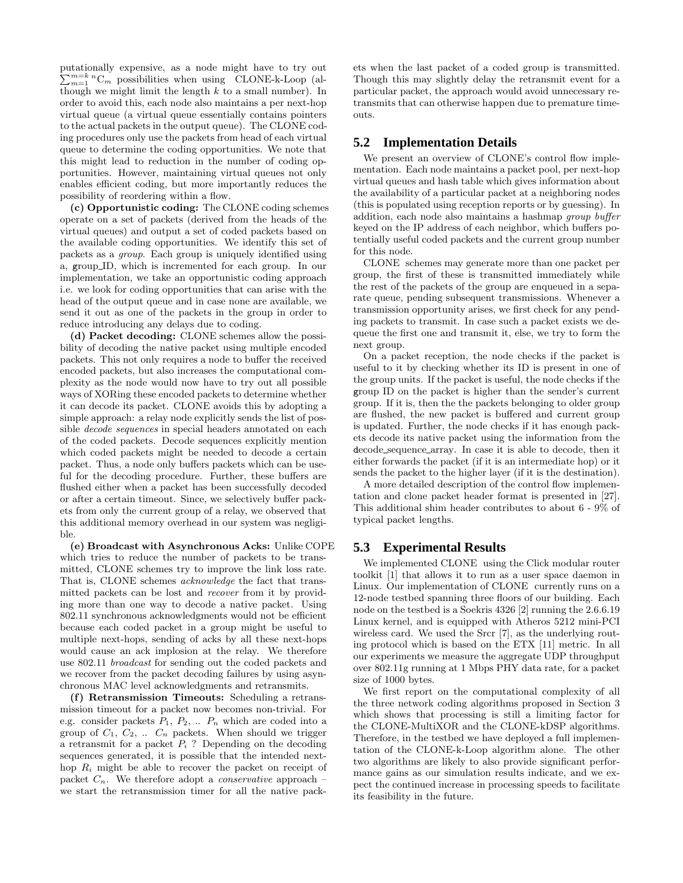putationally expensive, as a node might have to try out  $\sum_{m=1}^{m=k} {}^{n}C_{m}$  possibilities when using CLONE-k-Loop (although we might limit the length  $k$  to a small number). In order to avoid this, each node also maintains a per next-hop virtual queue (a virtual queue essentially contains pointers to the actual packets in the output queue). The CLONE coding procedures only use the packets from head of each virtual queue to determine the coding opportunities. We note that this might lead to reduction in the number of coding opportunities. However, maintaining virtual queues not only enables efficient coding, but more importantly reduces the possibility of reordering within a flow.

(c) Opportunistic coding: The CLONE coding schemes operate on a set of packets (derived from the heads of the virtual queues) and output a set of coded packets based on the available coding opportunities. We identify this set of packets as a group. Each group is uniquely identified using a, group ID, which is incremented for each group. In our implementation, we take an opportunistic coding approach i.e. we look for coding opportunities that can arise with the head of the output queue and in case none are available, we send it out as one of the packets in the group in order to reduce introducing any delays due to coding.

(d) Packet decoding: CLONE schemes allow the possibility of decoding the native packet using multiple encoded packets. This not only requires a node to buffer the received encoded packets, but also increases the computational complexity as the node would now have to try out all possible ways of XORing these encoded packets to determine whether it can decode its packet. CLONE avoids this by adopting a simple approach: a relay node explicitly sends the list of possible decode sequences in special headers annotated on each of the coded packets. Decode sequences explicitly mention which coded packets might be needed to decode a certain packet. Thus, a node only buffers packets which can be useful for the decoding procedure. Further, these buffers are flushed either when a packet has been successfully decoded or after a certain timeout. Since, we selectively buffer packets from only the current group of a relay, we observed that this additional memory overhead in our system was negligible.

(e) Broadcast with Asynchronous Acks: Unlike COPE which tries to reduce the number of packets to be transmitted, CLONE schemes try to improve the link loss rate. That is, CLONE schemes acknowledge the fact that transmitted packets can be lost and recover from it by providing more than one way to decode a native packet. Using 802.11 synchronous acknowledgments would not be efficient because each coded packet in a group might be useful to multiple next-hops, sending of acks by all these next-hops would cause an ack implosion at the relay. We therefore use 802.11 broadcast for sending out the coded packets and we recover from the packet decoding failures by using asynchronous MAC level acknowledgments and retransmits.

(f) Retransmission Timeouts: Scheduling a retransmission timeout for a packet now becomes non-trivial. For e.g. consider packets  $P_1, P_2, \ldots, P_n$  which are coded into a group of  $C_1$ ,  $C_2$ , ...  $C_n$  packets. When should we trigger a retransmit for a packet  $P_i$ ? Depending on the decoding sequences generated, it is possible that the intended nexthop  $R_i$  might be able to recover the packet on receipt of packet  $C_n$ . We therefore adopt a *conservative* approach – we start the retransmission timer for all the native packets when the last packet of a coded group is transmitted. Though this may slightly delay the retransmit event for a particular packet, the approach would avoid unnecessary retransmits that can otherwise happen due to premature timeouts.

### **5.2 Implementation Details**

We present an overview of CLONE's control flow implementation. Each node maintains a packet pool, per next-hop virtual queues and hash table which gives information about the availability of a particular packet at a neighboring nodes (this is populated using reception reports or by guessing). In addition, each node also maintains a hashmap group buffer keyed on the IP address of each neighbor, which buffers potentially useful coded packets and the current group number for this node.

CLONE schemes may generate more than one packet per group, the first of these is transmitted immediately while the rest of the packets of the group are enqueued in a separate queue, pending subsequent transmissions. Whenever a transmission opportunity arises, we first check for any pending packets to transmit. In case such a packet exists we dequeue the first one and transmit it, else, we try to form the next group.

On a packet reception, the node checks if the packet is useful to it by checking whether its ID is present in one of the group units. If the packet is useful, the node checks if the group ID on the packet is higher than the sender's current group. If it is, then the the packets belonging to older group are flushed, the new packet is buffered and current group is updated. Further, the node checks if it has enough packets decode its native packet using the information from the decode sequence array. In case it is able to decode, then it either forwards the packet (if it is an intermediate hop) or it sends the packet to the higher layer (if it is the destination).

A more detailed description of the control flow implementation and clone packet header format is presented in [27]. This additional shim header contributes to about 6 - 9% of typical packet lengths.

#### **5.3 Experimental Results**

We implemented CLONE using the Click modular router toolkit [1] that allows it to run as a user space daemon in Linux. Our implementation of CLONE currently runs on a 12-node testbed spanning three floors of our building. Each node on the testbed is a Soekris 4326 [2] running the 2.6.6.19 Linux kernel, and is equipped with Atheros 5212 mini-PCI wireless card. We used the Srcr [7], as the underlying routing protocol which is based on the ETX [11] metric. In all our experiments we measure the aggregate UDP throughput over 802.11g running at 1 Mbps PHY data rate, for a packet size of 1000 bytes.

We first report on the computational complexity of all the three network coding algorithms proposed in Section 3 which shows that processing is still a limiting factor for the CLONE-MultiXOR and the CLONE-kDSP algorithms. Therefore, in the testbed we have deployed a full implementation of the CLONE-k-Loop algorithm alone. The other two algorithms are likely to also provide significant performance gains as our simulation results indicate, and we expect the continued increase in processing speeds to facilitate its feasibility in the future.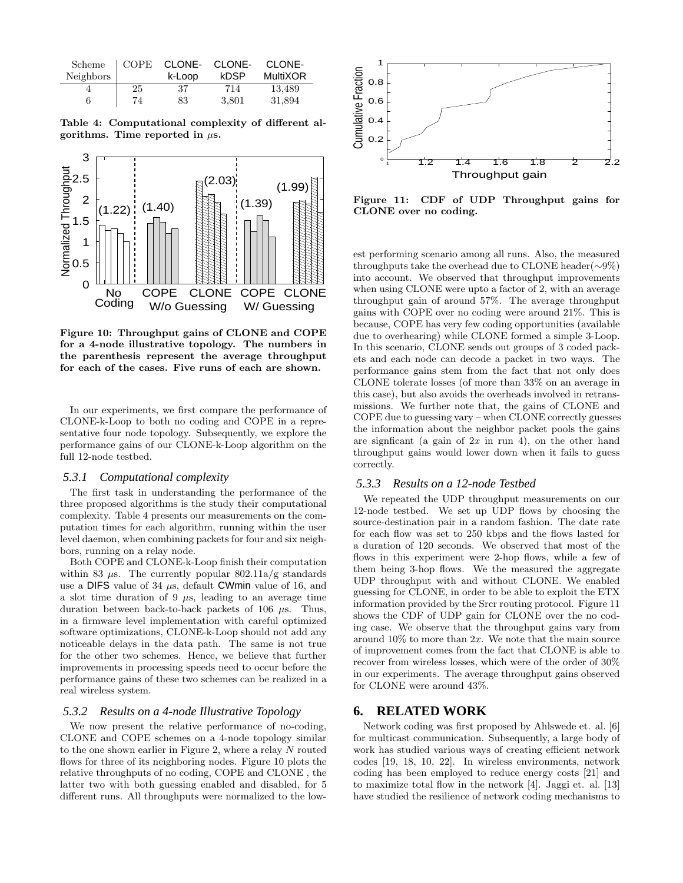| Scheme    | COPE | CLONE- | CLONE- | CLONE-          |
|-----------|------|--------|--------|-----------------|
| Neighbors |      | k-Loop | kDSP   | <b>MultiXOR</b> |
| 6         | 25   | 37     | 714    | 13,489          |
|           | 74   | 83     | 3,801  | 31,894          |

Table 4: Computational complexity of different algorithms. Time reported in  $\mu$ s.



Figure 10: Throughput gains of CLONE and COPE for a 4-node illustrative topology. The numbers in the parenthesis represent the average throughput for each of the cases. Five runs of each are shown.

In our experiments, we first compare the performance of CLONE-k-Loop to both no coding and COPE in a representative four node topology. Subsequently, we explore the performance gains of our CLONE-k-Loop algorithm on the full 12-node testbed.

#### *5.3.1 Computational complexity*

The first task in understanding the performance of the three proposed algorithms is the study their computational complexity. Table 4 presents our measurements on the computation times for each algorithm, running within the user level daemon, when combining packets for four and six neighbors, running on a relay node.

Both COPE and CLONE-k-Loop finish their computation within 83  $\mu$ s. The currently popular 802.11a/g standards use a DIFS value of 34  $\mu$ s, default CWmin value of 16, and a slot time duration of 9  $\mu$ s, leading to an average time duration between back-to-back packets of 106  $\mu$ s. Thus, in a firmware level implementation with careful optimized software optimizations, CLONE-k-Loop should not add any noticeable delays in the data path. The same is not true for the other two schemes. Hence, we believe that further improvements in processing speeds need to occur before the performance gains of these two schemes can be realized in a real wireless system.

#### *5.3.2 Results on a 4-node Illustrative Topology*

We now present the relative performance of no-coding, CLONE and COPE schemes on a 4-node topology similar to the one shown earlier in Figure 2, where a relay N routed flows for three of its neighboring nodes. Figure 10 plots the relative throughputs of no coding, COPE and CLONE , the latter two with both guessing enabled and disabled, for 5 different runs. All throughputs were normalized to the low-



Figure 11: CDF of UDP Throughput gains for CLONE over no coding.

est performing scenario among all runs. Also, the measured throughputs take the overhead due to CLONE header(∼9%) into account. We observed that throughput improvements when using CLONE were upto a factor of 2, with an average throughput gain of around 57%. The average throughput gains with COPE over no coding were around 21%. This is because, COPE has very few coding opportunities (available due to overhearing) while CLONE formed a simple 3-Loop. In this scenario, CLONE sends out groups of 3 coded packets and each node can decode a packet in two ways. The performance gains stem from the fact that not only does CLONE tolerate losses (of more than 33% on an average in this case), but also avoids the overheads involved in retransmissions. We further note that, the gains of CLONE and COPE due to guessing vary – when CLONE correctly guesses the information about the neighbor packet pools the gains are signficant (a gain of  $2x$  in run 4), on the other hand throughput gains would lower down when it fails to guess correctly.

#### *5.3.3 Results on a 12-node Testbed*

We repeated the UDP throughput measurements on our 12-node testbed. We set up UDP flows by choosing the source-destination pair in a random fashion. The date rate for each flow was set to 250 kbps and the flows lasted for a duration of 120 seconds. We observed that most of the flows in this experiment were 2-hop flows, while a few of them being 3-hop flows. We the measured the aggregate UDP throughput with and without CLONE. We enabled guessing for CLONE, in order to be able to exploit the ETX information provided by the Srcr routing protocol. Figure 11 shows the CDF of UDP gain for CLONE over the no coding case. We observe that the throughput gains vary from around  $10\%$  to more than  $2x$ . We note that the main source of improvement comes from the fact that CLONE is able to recover from wireless losses, which were of the order of 30% in our experiments. The average throughput gains observed for CLONE were around 43%.

# **6. RELATED WORK**

Network coding was first proposed by Ahlswede et. al. [6] for multicast communication. Subsequently, a large body of work has studied various ways of creating efficient network codes [19, 18, 10, 22]. In wireless environments, network coding has been employed to reduce energy costs [21] and to maximize total flow in the network [4]. Jaggi et. al. [13] have studied the resilience of network coding mechanisms to